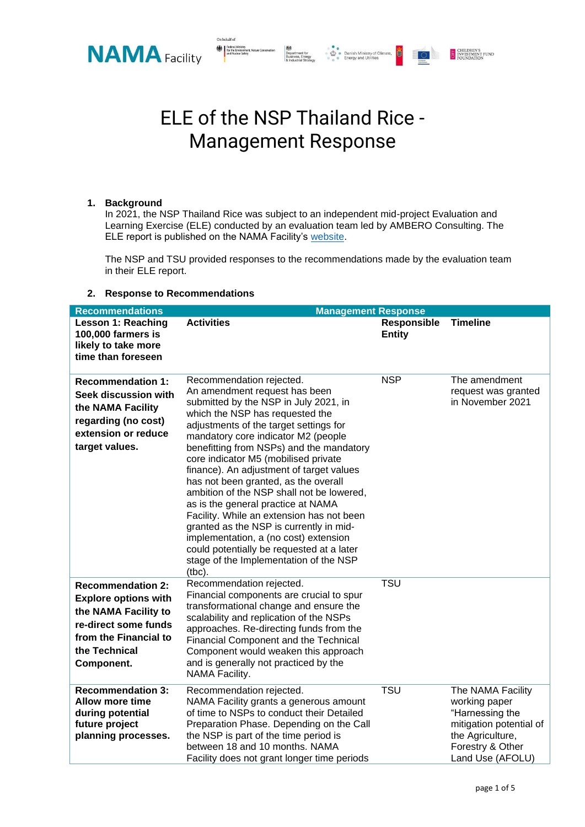

## ELE of the NSP Thailand Rice - Management Response

Department for<br>Business, Energy and United States of Climate<br>Business, Energy and Utilities<br>Links and Utilities

**E CHILDREN'S**<br>INVESTMENT FUND

 $\circ$   $\circ$ 

## **1. Background**

In 2021, the NSP Thailand Rice was subject to an independent mid-project Evaluation and Learning Exercise (ELE) conducted by an evaluation team led by AMBERO Consulting. The ELE report is published on the NAMA Facility's [website.](https://bit.ly/3sRfrPo)

The NSP and TSU provided responses to the recommendations made by the evaluation team in their ELE report.

## **2. Response to Recommendations**

| <b>Recommendations</b>                                                                                                                                          | <b>Management Response</b>                                                                                                                                                                                                                                                                                                                                                                                                                                                                                                                                                                                                                                                                                             |                                     |                                                                                                                                              |  |
|-----------------------------------------------------------------------------------------------------------------------------------------------------------------|------------------------------------------------------------------------------------------------------------------------------------------------------------------------------------------------------------------------------------------------------------------------------------------------------------------------------------------------------------------------------------------------------------------------------------------------------------------------------------------------------------------------------------------------------------------------------------------------------------------------------------------------------------------------------------------------------------------------|-------------------------------------|----------------------------------------------------------------------------------------------------------------------------------------------|--|
| Lesson 1: Reaching<br>100,000 farmers is<br>likely to take more<br>time than foreseen                                                                           | <b>Activities</b>                                                                                                                                                                                                                                                                                                                                                                                                                                                                                                                                                                                                                                                                                                      | <b>Responsible</b><br><b>Entity</b> | <b>Timeline</b>                                                                                                                              |  |
| <b>Recommendation 1:</b><br>Seek discussion with<br>the NAMA Facility<br>regarding (no cost)<br>extension or reduce<br>target values.                           | Recommendation rejected.<br>An amendment request has been<br>submitted by the NSP in July 2021, in<br>which the NSP has requested the<br>adjustments of the target settings for<br>mandatory core indicator M2 (people<br>benefitting from NSPs) and the mandatory<br>core indicator M5 (mobilised private<br>finance). An adjustment of target values<br>has not been granted, as the overall<br>ambition of the NSP shall not be lowered,<br>as is the general practice at NAMA<br>Facility. While an extension has not been<br>granted as the NSP is currently in mid-<br>implementation, a (no cost) extension<br>could potentially be requested at a later<br>stage of the Implementation of the NSP<br>$(tbc)$ . | <b>NSP</b>                          | The amendment<br>request was granted<br>in November 2021                                                                                     |  |
| <b>Recommendation 2:</b><br><b>Explore options with</b><br>the NAMA Facility to<br>re-direct some funds<br>from the Financial to<br>the Technical<br>Component. | Recommendation rejected.<br>Financial components are crucial to spur<br>transformational change and ensure the<br>scalability and replication of the NSPs<br>approaches. Re-directing funds from the<br>Financial Component and the Technical<br>Component would weaken this approach<br>and is generally not practiced by the<br>NAMA Facility.                                                                                                                                                                                                                                                                                                                                                                       | <b>TSU</b>                          |                                                                                                                                              |  |
| <b>Recommendation 3:</b><br><b>Allow more time</b><br>during potential<br>future project<br>planning processes.                                                 | Recommendation rejected.<br>NAMA Facility grants a generous amount<br>of time to NSPs to conduct their Detailed<br>Preparation Phase. Depending on the Call<br>the NSP is part of the time period is<br>between 18 and 10 months. NAMA<br>Facility does not grant longer time periods                                                                                                                                                                                                                                                                                                                                                                                                                                  | <b>TSU</b>                          | The NAMA Facility<br>working paper<br>"Harnessing the<br>mitigation potential of<br>the Agriculture,<br>Forestry & Other<br>Land Use (AFOLU) |  |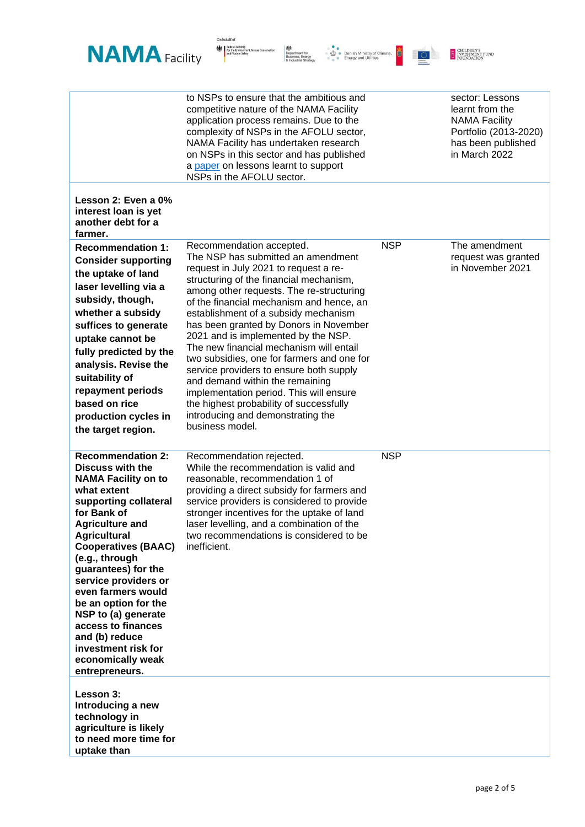

On behalf of

|                                                                                                                                                                                                                                                                                                                                                                                                                                                                     | to NSPs to ensure that the ambitious and<br>competitive nature of the NAMA Facility<br>application process remains. Due to the<br>complexity of NSPs in the AFOLU sector,<br>NAMA Facility has undertaken research<br>on NSPs in this sector and has published<br>a paper on lessons learnt to support<br>NSPs in the AFOLU sector.                                                                                                                                                                                                                                                                                                                                                      |            | sector: Lessons<br>learnt from the<br><b>NAMA Facility</b><br>Portfolio (2013-2020)<br>has been published<br>in March 2022 |
|---------------------------------------------------------------------------------------------------------------------------------------------------------------------------------------------------------------------------------------------------------------------------------------------------------------------------------------------------------------------------------------------------------------------------------------------------------------------|------------------------------------------------------------------------------------------------------------------------------------------------------------------------------------------------------------------------------------------------------------------------------------------------------------------------------------------------------------------------------------------------------------------------------------------------------------------------------------------------------------------------------------------------------------------------------------------------------------------------------------------------------------------------------------------|------------|----------------------------------------------------------------------------------------------------------------------------|
| Lesson 2: Even a 0%<br>interest loan is yet<br>another debt for a<br>farmer.                                                                                                                                                                                                                                                                                                                                                                                        |                                                                                                                                                                                                                                                                                                                                                                                                                                                                                                                                                                                                                                                                                          |            |                                                                                                                            |
| <b>Recommendation 1:</b><br><b>Consider supporting</b><br>the uptake of land<br>laser levelling via a<br>subsidy, though,<br>whether a subsidy<br>suffices to generate<br>uptake cannot be<br>fully predicted by the<br>analysis. Revise the<br>suitability of<br>repayment periods<br>based on rice<br>production cycles in<br>the target region.                                                                                                                  | Recommendation accepted.<br>The NSP has submitted an amendment<br>request in July 2021 to request a re-<br>structuring of the financial mechanism,<br>among other requests. The re-structuring<br>of the financial mechanism and hence, an<br>establishment of a subsidy mechanism<br>has been granted by Donors in November<br>2021 and is implemented by the NSP.<br>The new financial mechanism will entail<br>two subsidies, one for farmers and one for<br>service providers to ensure both supply<br>and demand within the remaining<br>implementation period. This will ensure<br>the highest probability of successfully<br>introducing and demonstrating the<br>business model. | <b>NSP</b> | The amendment<br>request was granted<br>in November 2021                                                                   |
| <b>Recommendation 2:</b><br><b>Discuss with the</b><br><b>NAMA Facility on to</b><br>what extent<br>supporting collateral<br>for Bank of<br><b>Agriculture and</b><br><b>Agricultural</b><br><b>Cooperatives (BAAC)</b><br>(e.g., through<br>guarantees) for the<br>service providers or<br>even farmers would<br>be an option for the<br>NSP to (a) generate<br>access to finances<br>and (b) reduce<br>investment risk for<br>economically weak<br>entrepreneurs. | Recommendation rejected.<br>While the recommendation is valid and<br>reasonable, recommendation 1 of<br>providing a direct subsidy for farmers and<br>service providers is considered to provide<br>stronger incentives for the uptake of land<br>laser levelling, and a combination of the<br>two recommendations is considered to be<br>inefficient.                                                                                                                                                                                                                                                                                                                                   | <b>NSP</b> |                                                                                                                            |
| Lesson 3:<br>Introducing a new<br>technology in<br>agriculture is likely<br>to need more time for<br>uptake than                                                                                                                                                                                                                                                                                                                                                    |                                                                                                                                                                                                                                                                                                                                                                                                                                                                                                                                                                                                                                                                                          |            |                                                                                                                            |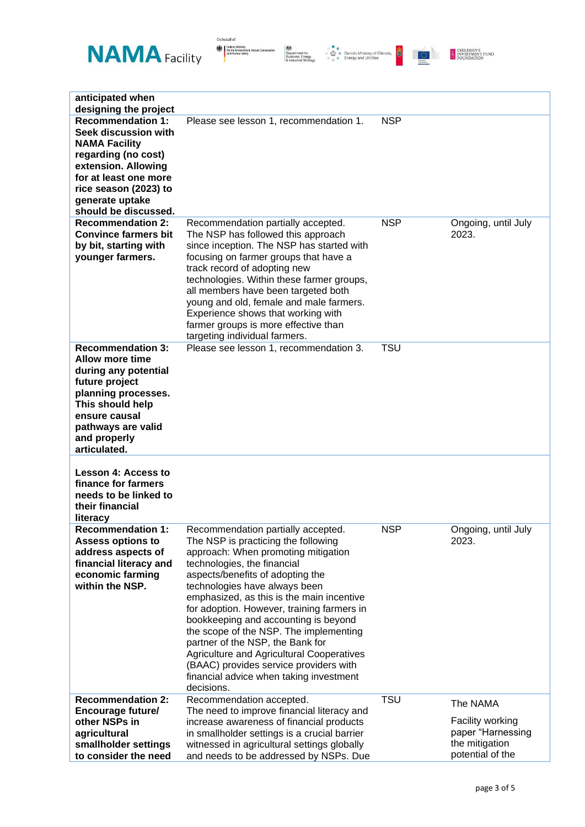







| anticipated when<br>designing the project                                                                                                                                                                           |                                                                                                                                                                                                                                                                                                                                                                                                                                                                                                                                                                                              |            |                                                                                         |
|---------------------------------------------------------------------------------------------------------------------------------------------------------------------------------------------------------------------|----------------------------------------------------------------------------------------------------------------------------------------------------------------------------------------------------------------------------------------------------------------------------------------------------------------------------------------------------------------------------------------------------------------------------------------------------------------------------------------------------------------------------------------------------------------------------------------------|------------|-----------------------------------------------------------------------------------------|
| <b>Recommendation 1:</b><br>Seek discussion with<br><b>NAMA Facility</b><br>regarding (no cost)<br>extension. Allowing<br>for at least one more<br>rice season (2023) to<br>generate uptake<br>should be discussed. | Please see lesson 1, recommendation 1.                                                                                                                                                                                                                                                                                                                                                                                                                                                                                                                                                       | <b>NSP</b> |                                                                                         |
| <b>Recommendation 2:</b><br><b>Convince farmers bit</b><br>by bit, starting with<br>younger farmers.                                                                                                                | Recommendation partially accepted.<br>The NSP has followed this approach<br>since inception. The NSP has started with<br>focusing on farmer groups that have a<br>track record of adopting new<br>technologies. Within these farmer groups,<br>all members have been targeted both<br>young and old, female and male farmers.<br>Experience shows that working with<br>farmer groups is more effective than<br>targeting individual farmers.                                                                                                                                                 | <b>NSP</b> | Ongoing, until July<br>2023.                                                            |
| <b>Recommendation 3:</b><br><b>Allow more time</b><br>during any potential<br>future project<br>planning processes.<br>This should help<br>ensure causal<br>pathways are valid<br>and properly<br>articulated.      | Please see lesson 1, recommendation 3.                                                                                                                                                                                                                                                                                                                                                                                                                                                                                                                                                       | <b>TSU</b> |                                                                                         |
| <b>Lesson 4: Access to</b><br>finance for farmers<br>needs to be linked to<br>their financial<br>literacy                                                                                                           |                                                                                                                                                                                                                                                                                                                                                                                                                                                                                                                                                                                              |            |                                                                                         |
| <b>Recommendation 1:</b><br><b>Assess options to</b><br>address aspects of<br>financial literacy and<br>economic farming<br>within the NSP.                                                                         | Recommendation partially accepted.<br>The NSP is practicing the following<br>approach: When promoting mitigation<br>technologies, the financial<br>aspects/benefits of adopting the<br>technologies have always been<br>emphasized, as this is the main incentive<br>for adoption. However, training farmers in<br>bookkeeping and accounting is beyond<br>the scope of the NSP. The implementing<br>partner of the NSP, the Bank for<br><b>Agriculture and Agricultural Cooperatives</b><br>(BAAC) provides service providers with<br>financial advice when taking investment<br>decisions. | <b>NSP</b> | Ongoing, until July<br>2023.                                                            |
| <b>Recommendation 2:</b><br><b>Encourage future/</b><br>other NSPs in<br>agricultural<br>smallholder settings<br>to consider the need                                                                               | Recommendation accepted.<br>The need to improve financial literacy and<br>increase awareness of financial products<br>in smallholder settings is a crucial barrier<br>witnessed in agricultural settings globally<br>and needs to be addressed by NSPs. Due                                                                                                                                                                                                                                                                                                                                  | <b>TSU</b> | The NAMA<br>Facility working<br>paper "Harnessing<br>the mitigation<br>potential of the |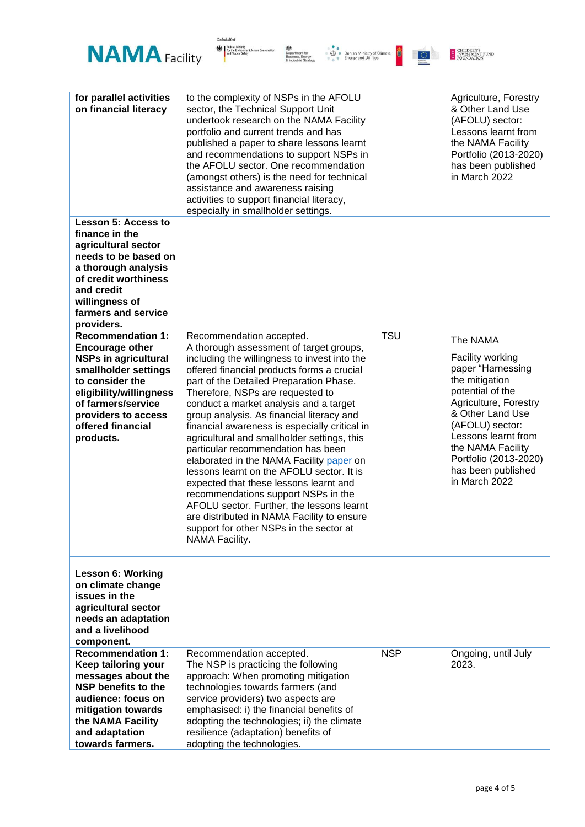

On behalf of  $% \left\vert \left( \delta _{i},\delta _{j}\right) \right\rangle$ 

| for parallel activities<br>on financial literacy                                                                                                                                                                                       | to the complexity of NSPs in the AFOLU<br>sector, the Technical Support Unit<br>undertook research on the NAMA Facility<br>portfolio and current trends and has<br>published a paper to share lessons learnt<br>and recommendations to support NSPs in<br>the AFOLU sector. One recommendation<br>(amongst others) is the need for technical<br>assistance and awareness raising<br>activities to support financial literacy,<br>especially in smallholder settings.                                                                                                                                                                                                                                                                                                                                            |            | Agriculture, Forestry<br>& Other Land Use<br>(AFOLU) sector:<br>Lessons learnt from<br>the NAMA Facility<br>Portfolio (2013-2020)<br>has been published<br>in March 2022                                                                                            |
|----------------------------------------------------------------------------------------------------------------------------------------------------------------------------------------------------------------------------------------|-----------------------------------------------------------------------------------------------------------------------------------------------------------------------------------------------------------------------------------------------------------------------------------------------------------------------------------------------------------------------------------------------------------------------------------------------------------------------------------------------------------------------------------------------------------------------------------------------------------------------------------------------------------------------------------------------------------------------------------------------------------------------------------------------------------------|------------|---------------------------------------------------------------------------------------------------------------------------------------------------------------------------------------------------------------------------------------------------------------------|
| <b>Lesson 5: Access to</b><br>finance in the<br>agricultural sector<br>needs to be based on<br>a thorough analysis<br>of credit worthiness<br>and credit<br>willingness of<br>farmers and service<br>providers.                        |                                                                                                                                                                                                                                                                                                                                                                                                                                                                                                                                                                                                                                                                                                                                                                                                                 |            |                                                                                                                                                                                                                                                                     |
| <b>Recommendation 1:</b><br><b>Encourage other</b><br><b>NSPs in agricultural</b><br>smallholder settings<br>to consider the<br>eligibility/willingness<br>of farmers/service<br>providers to access<br>offered financial<br>products. | Recommendation accepted.<br>A thorough assessment of target groups,<br>including the willingness to invest into the<br>offered financial products forms a crucial<br>part of the Detailed Preparation Phase.<br>Therefore, NSPs are requested to<br>conduct a market analysis and a target<br>group analysis. As financial literacy and<br>financial awareness is especially critical in<br>agricultural and smallholder settings, this<br>particular recommendation has been<br>elaborated in the NAMA Facility paper on<br>lessons learnt on the AFOLU sector. It is<br>expected that these lessons learnt and<br>recommendations support NSPs in the<br>AFOLU sector. Further, the lessons learnt<br>are distributed in NAMA Facility to ensure<br>support for other NSPs in the sector at<br>NAMA Facility. | <b>TSU</b> | The NAMA<br>Facility working<br>paper "Harnessing<br>the mitigation<br>potential of the<br>Agriculture, Forestry<br>& Other Land Use<br>(AFOLU) sector:<br>Lessons learnt from<br>the NAMA Facility<br>Portfolio (2013-2020)<br>has been published<br>in March 2022 |
| <b>Lesson 6: Working</b><br>on climate change<br>issues in the<br>agricultural sector<br>needs an adaptation<br>and a livelihood<br>component.                                                                                         |                                                                                                                                                                                                                                                                                                                                                                                                                                                                                                                                                                                                                                                                                                                                                                                                                 |            |                                                                                                                                                                                                                                                                     |
| <b>Recommendation 1:</b><br>Keep tailoring your<br>messages about the<br><b>NSP benefits to the</b><br>audience: focus on<br>mitigation towards<br>the NAMA Facility<br>and adaptation<br>towards farmers.                             | Recommendation accepted.<br>The NSP is practicing the following<br>approach: When promoting mitigation<br>technologies towards farmers (and<br>service providers) two aspects are<br>emphasised: i) the financial benefits of<br>adopting the technologies; ii) the climate<br>resilience (adaptation) benefits of<br>adopting the technologies.                                                                                                                                                                                                                                                                                                                                                                                                                                                                | <b>NSP</b> | Ongoing, until July<br>2023.                                                                                                                                                                                                                                        |